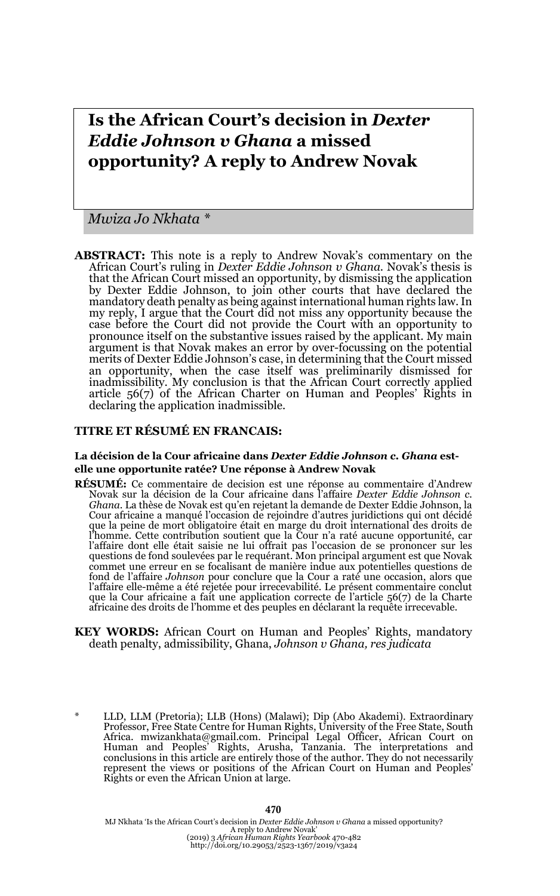# **Is the African Court's decision in** *Dexter Eddie Johnson v Ghana* **a missed opportunity? A reply to Andrew Novak**

*Mwiza Jo Nkhata \**

**ABSTRACT:** This note is a reply to Andrew Novak's commentary on the African Court's ruling in *Dexter Eddie Johnson v Ghana*. Novak's thesis is that the African Court missed an opportunity, by dismissing the application by Dexter Eddie Johnson, to join other courts that have declared the mandatory death penalty as being against international human rights law. In my reply, I argue that the Court did not miss any opportunity because the case before the Court did not provide the Court with an opportunity to pronounce itself on the substantive issues raised by the applicant. My main argument is that Novak makes an error by over-focussing on the potential merits of Dexter Eddie Johnson's case, in determining that the Court missed an opportunity, when the case itself was preliminarily dismissed for inadmissibility. My conclusion is that the African Court correctly applied article 56(7) of the African Charter on Human and Peoples' Rights in declaring the application inadmissible.

#### **TITRE ET RÉSUMÉ EN FRANCAIS:**

#### **La décision de la Cour africaine dans** *Dexter Eddie Johnson c. Ghana* **estelle une opportunite ratée? Une réponse à Andrew Novak**

- **RÉSUMÉ:** Ce commentaire de decision est une réponse au commentaire d'Andrew Novak sur la décision de la Cour africaine dans l'affaire *Dexter Eddie Johnson c. Ghana*. La thèse de Novak est qu'en rejetant la demande de Dexter Eddie Johnson, la Cour africaine a manqué l'occasion de rejoindre d'autres juridictions qui ont décidé que la peine de mort obligatoire était en marge du droit international des droits de l'homme. Cette contribution soutient que la Cour n'a raté aucune opportunité, car l'affaire dont elle était saisie ne lui offrait pas l'occasion de se prononcer sur les<br>questions de fond soulevées par le requérant. Mon principal argument est que Novak<br>commet une erreur en se focalisant de manière indue fond de l'affaire *Johnson* pour conclure que la Cour a raté une occasion, alors que l'affaire elle-même a été rejetée pour irrecevabilité. Le présent commentaire conclut que la Cour africaine a fait une application correcte de l'article 56(7) de la Charte africaine des droits de l'homme et des peuples en déclarant la requête irrecevable.
- **KEY WORDS:** African Court on Human and Peoples' Rights, mandatory death penalty, admissibility, Ghana, *Johnson v Ghana, res judicata*
- \* LLD, LLM (Pretoria); LLB (Hons) (Malawi); Dip (Abo Akademi). Extraordinary Professor, Free State Centre for Human Rights, University of the Free State, South Africa. mwizankhata@gmail.com. Principal Legal Officer, African Court on Human and Peoples' Rights, Arusha, Tanzania. The interpretations and conclusions in this article are entirely those of the author. They do not necessarily represent the views or positions of the African Court on Human and Rights or even the African Union at large.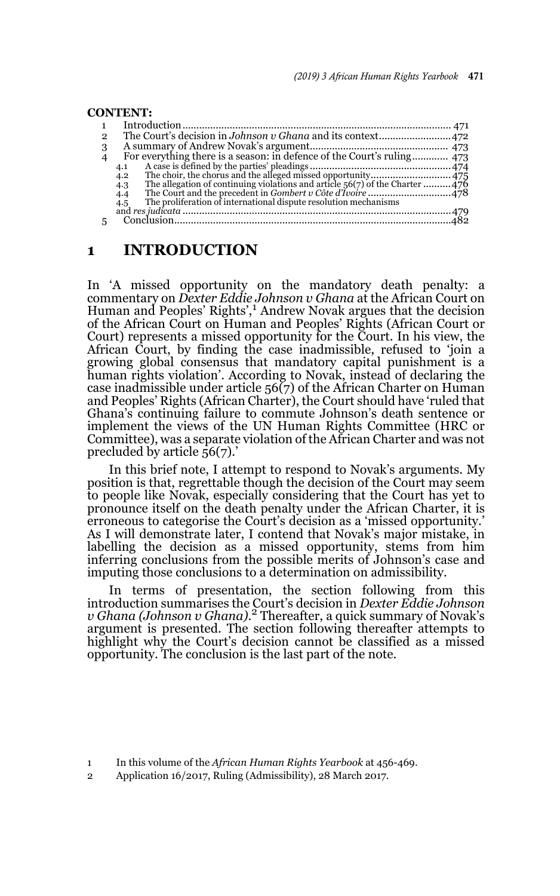#### **CONTENT:** 1 Introduction ................................................................................................. 471 2 The Court's decision in *Johnson v Ghana* and its context..........................472 3 A summary of Andrew Novak's argument.................................................. 473 4 For everything there is a season: in defence of the Court's ruling............. 473 4.1 A case is defined by the parties' pleadings ...................................................474 4.2 The choir, the chorus and the alleged missed opportunity.............................475 4.3 The allegation of continuing violations and article 56(7) of the Charter ..........476 4.4 The Court and the precedent in *Gombert v Côte d'Ivoire* ..............................478 4.5 The proliferation of international dispute resolution mechanisms and *res judicata* .................................................................................................479 5 Conclusion....................................................................................................482

### **1 INTRODUCTION**

In 'A missed opportunity on the mandatory death penalty: a commentary on *Dexter Eddie Johnson v Ghana* at the African Court on Human and Peoples' Rights',<sup>1</sup> Andrew Novak argues that the decision of the African Court on Human and Peoples' Rights (African Court or Court) represents a missed opportunity for the Court. In his view, the African Court, by finding the case inadmissible, refused to 'join a growing global consensus that mandatory capital punishment is a human rights violation'. According to Novak, instead of declaring the case inadmissible under article  $56(7)$  of the African Charter on Human and Peoples' Rights (African Charter), the Court should have 'ruled that Ghana's continuing failure to commute Johnson's death sentence or implement the views of the UN Human Rights Committee (HRC or Committee), was a separate violation of the African Charter and was not precluded by article 56(7).'

In this brief note, I attempt to respond to Novak's arguments. My position is that, regrettable though the decision of the Court may seem to people like Novak, especially considering that the Court has yet to pronounce itself on the death penalty under the African Charter, it is erroneous to categorise the Court's decision as a 'missed opportunity.' As I will demonstrate later, I contend that Novak's major mistake, in labelling the decision as a missed opportunity, stems from him inferring conclusions from the possible merits of Johnson's case and imputing those conclusions to a determination on admissibility.

In terms of presentation, the section following from this introduction summarises the Court's decision in *Dexter Eddie Johnson v Ghana (Johnson v Ghana)*. <sup>2</sup> Thereafter, a quick summary of Novak's argument is presented. The section following thereafter attempts to highlight why the Court's decision cannot be classified as a missed opportunity. The conclusion is the last part of the note.

<sup>1</sup> In this volume of the *African Human Rights Yearbook* at 456-469.

<sup>2</sup> Application 16/2017, Ruling (Admissibility), 28 March 2017.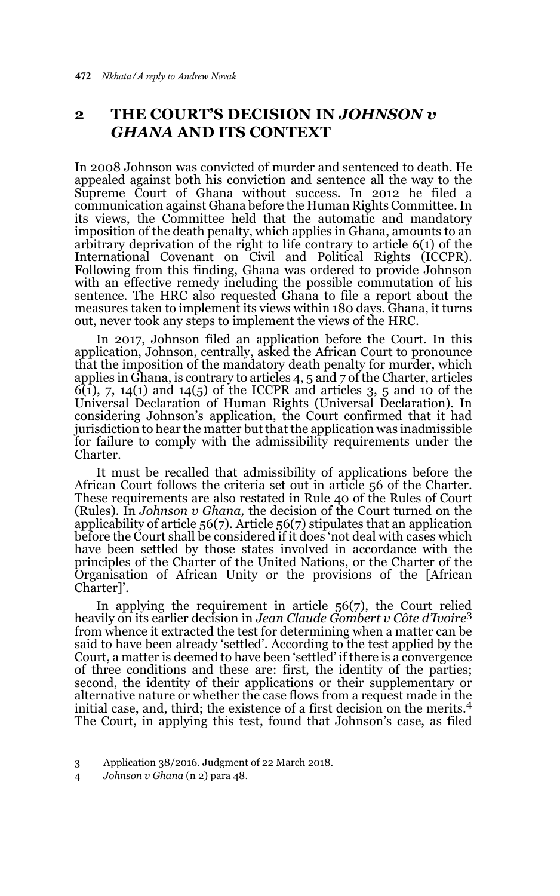# **2 THE COURT'S DECISION IN** *JOHNSON v GHANA* **AND ITS CONTEXT**

In 2008 Johnson was convicted of murder and sentenced to death. He appealed against both his conviction and sentence all the way to the Supreme Court of Ghana without success. In 2012 he filed a communication against Ghana before the Human Rights Committee. In its views, the Committee held that the automatic and mandatory imposition of the death penalty, which applies in Ghana, amounts to an arbitrary deprivation of the right to life contrary to article 6(1) of the International Covenant on Civil and Political Rights (ICCPR). Following from this finding, Ghana was ordered to provide Johnson with an effective remedy including the possible commutation of his sentence. The HRC also requested Ghana to file a report about the measures taken to implement its views within 180 days. Ghana, it turns out, never took any steps to implement the views of the HRC.

In 2017, Johnson filed an application before the Court. In this application, Johnson, centrally, asked the African Court to pronounce that the imposition of the mandatory death penalty for murder, which applies in Ghana, is contrary to articles 4, 5 and 7 of the Charter, articles  $6(1)$ , 7, 14(1) and 14(5) of the ICCPR and articles 3, 5 and 10 of the Universal Declaration of Human Rights (Universal Declaration). In considering Johnson's application, the Court confirmed that it had jurisdiction to hear the matter but that the application was inadmissible for failure to comply with the admissibility requirements under the Charter.

It must be recalled that admissibility of applications before the African Court follows the criteria set out in article 56 of the Charter. These requirements are also restated in Rule 40 of the Rules of Court (Rules). In *Johnson v Ghana,* the decision of the Court turned on the applicability of article 56(7). Article 56(7) stipulates that an application before the Court shall be considered if it does 'not deal with cases which have been settled by those states involved in accordance with the principles of the Charter of the United Nations, or the Charter of the Organisation of African Unity or the provisions of the [African Charter]'.

In applying the requirement in article 56(7), the Court relied heavily on its earlier decision in *Jean Claude Gombert v Côte d'Ivoire*<sup>3</sup> from whence it extracted the test for determining when a matter can be said to have been already 'settled'. According to the test applied by the Court, a matter is deemed to have been 'settled' if there is a convergence of three conditions and these are: first, the identity of the parties; second, the identity of their applications or their supplementary or alternative nature or whether the case flows from a request made in the initial case, and, third; the existence of a first decision on the merits.<sup>4</sup> The Court, in applying this test, found that Johnson's case, as filed

<sup>3</sup> Application 38/2016. Judgment of 22 March 2018.

<sup>4</sup> *Johnson v Ghana* (n 2) para 48.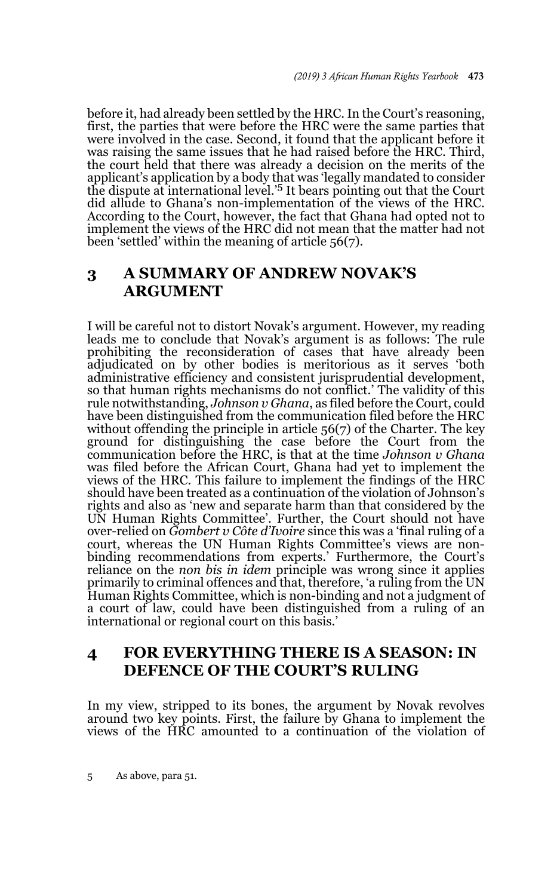before it, had already been settled by the HRC. In the Court's reasoning, first, the parties that were before the HRC were the same parties that were involved in the case. Second, it found that the applicant before it was raising the same issues that he had raised before the HRC. Third, the court held that there was already a decision on the merits of the applicant's application by a body that was 'legally mandated to consider the dispute at international level.'5 It bears pointing out that the Court did allude to Ghana's non-implementation of the views of the HRC. According to the Court, however, the fact that Ghana had opted not to implement the views of the HRC did not mean that the matter had not been 'settled' within the meaning of article 56(7).

# **3 A SUMMARY OF ANDREW NOVAK'S ARGUMENT**

I will be careful not to distort Novak's argument. However, my reading leads me to conclude that Novak's argument is as follows: The rule prohibiting the reconsideration of cases that have already been adjudicated on by other bodies is meritorious as it serves 'both administrative efficiency and consistent jurisprudential development, so that human rights mechanisms do not conflict.' The validity of this rule notwithstanding, *Johnson v Ghana*, as filed before the Court, could have been distinguished from the communication filed before the HRC without offending the principle in article 56(7) of the Charter. The key ground for distinguishing the case before the Court from the communication before the HRC, is that at the time *Johnson v Ghana* was filed before the African Court, Ghana had yet to implement the views of the HRC. This failure to implement the findings of the HRC should have been treated as a continuation of the violation of Johnson's rights and also as 'new and separate harm than that considered by the UN Human Rights Committee'. Further, the Court should not have over-relied on *Gombert v Côte d'Ivoire* since this was a 'final ruling of a court, whereas the UN Human Rights Committee's views are nonbinding recommendations from experts.' Furthermore, the Court's reliance on the *non bis in idem* principle was wrong since it applies primarily to criminal offences and that, therefore, 'a ruling from the UN Human Rights Committee, which is non-binding and not a judgment of a court of law, could have been distinguished from a ruling of an international or regional court on this basis.'

# **4 FOR EVERYTHING THERE IS A SEASON: IN DEFENCE OF THE COURT'S RULING**

In my view, stripped to its bones, the argument by Novak revolves around two key points. First, the failure by Ghana to implement the views of the HRC amounted to a continuation of the violation of

5 As above, para 51.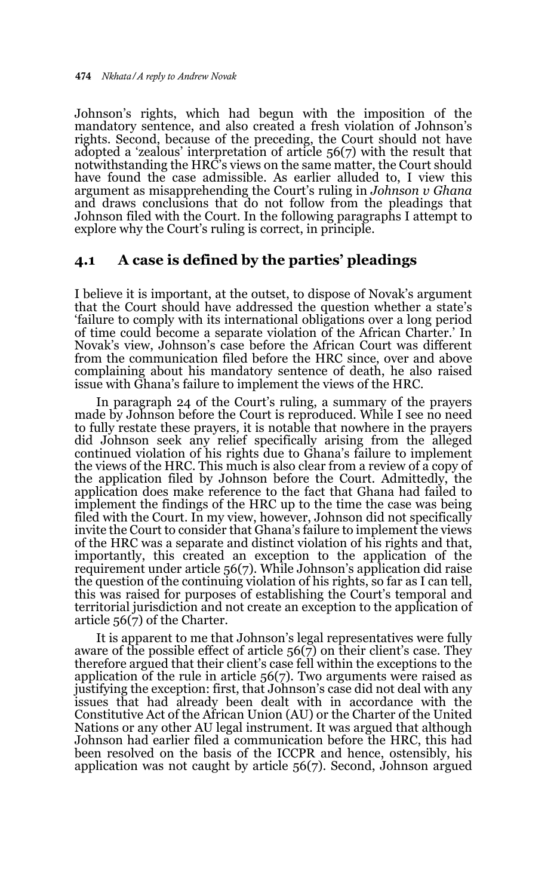Johnson's rights, which had begun with the imposition of the mandatory sentence, and also created a fresh violation of Johnson's rights. Second, because of the preceding, the Court should not have adopted a 'zealous' interpretation of article 56(7) with the result that notwithstanding the HRC's views on the same matter, the Court should have found the case admissible. As earlier alluded to, I view this argument as misapprehending the Court's ruling in *Johnson v Ghana* and draws conclusions that do not follow from the pleadings that Johnson filed with the Court. In the following paragraphs I attempt to explore why the Court's ruling is correct, in principle.

#### **4.1 A case is defined by the parties' pleadings**

I believe it is important, at the outset, to dispose of Novak's argument that the Court should have addressed the question whether a state's 'failure to comply with its international obligations over a long period of time could become a separate violation of the African Charter.' In Novak's view, Johnson's case before the African Court was different from the communication filed before the HRC since, over and above complaining about his mandatory sentence of death, he also raised issue with Ghana's failure to implement the views of the HRC.

In paragraph 24 of the Court's ruling, a summary of the prayers made by Johnson before the Court is reproduced. While I see no need to fully restate these prayers*,* it is notable that nowhere in the prayers did Johnson seek any relief specifically arising from the alleged continued violation of his rights due to Ghana's failure to implement the views of the HRC. This much is also clear from a review of a copy of the application filed by Johnson before the Court. Admittedly, the application does make reference to the fact that Ghana had failed to implement the findings of the HRC up to the time the case was being filed with the Court. In my view, however, Johnson did not specifically invite the Court to consider that Ghana's failure to implement the views of the HRC was a separate and distinct violation of his rights and that, importantly, this created an exception to the application of the requirement under article 56(7). While Johnson's application did raise the question of the continuing violation of his rights, so far as I can tell, this was raised for purposes of establishing the Court's temporal and territorial jurisdiction and not create an exception to the application of article  $56(7)$  of the Charter.

It is apparent to me that Johnson's legal representatives were fully aware of the possible effect of article  $56(7)$  on their client's case. They therefore argued that their client's case fell within the exceptions to the application of the rule in article 56(7). Two arguments were raised as justifying the exception: first, that Johnson's case did not deal with any issues that had already been dealt with in accordance with the Constitutive Act of the African Union (AU) or the Charter of the United Nations or any other AU legal instrument. It was argued that although Johnson had earlier filed a communication before the HRC, this had been resolved on the basis of the ICCPR and hence, ostensibly, his application was not caught by article 56(7). Second, Johnson argued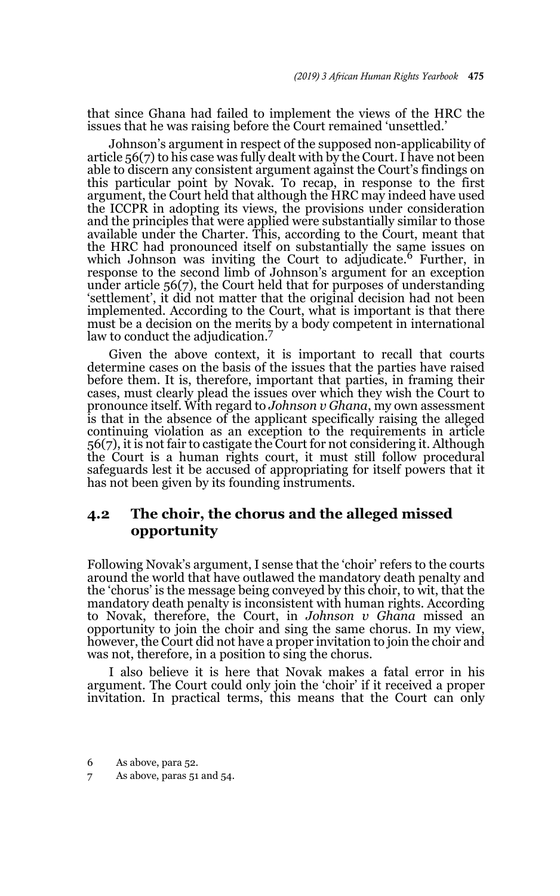that since Ghana had failed to implement the views of the HRC the issues that he was raising before the Court remained 'unsettled.'

Johnson's argument in respect of the supposed non-applicability of article 56(7) to his case was fully dealt with by the Court. I have not been able to discern any consistent argument against the Court's findings on this particular point by Novak. To recap, in response to the first argument, the Court held that although the HRC may indeed have used the ICCPR in adopting its views, the provisions under consideration and the principles that were applied were substantially similar to those available under the Charter. This, according to the Court, meant that the HRC had pronounced itself on substantially the same issues on which Johnson was inviting the Court to adjudicate.<sup>6</sup> Further, in response to the second limb of Johnson's argument for an exception under article 56(7), the Court held that for purposes of understanding 'settlement', it did not matter that the original decision had not been implemented. According to the Court, what is important is that there must be a decision on the merits by a body competent in international law to conduct the adjudication.<sup>7</sup>

Given the above context, it is important to recall that courts determine cases on the basis of the issues that the parties have raised before them. It is, therefore, important that parties, in framing their cases, must clearly plead the issues over which they wish the Court to pronounce itself. With regard to *Johnson v Ghana*, my own assessment is that in the absence of the applicant specifically raising the alleged continuing violation as an exception to the requirements in article 56(7), it is not fair to castigate the Court for not considering it. Although the Court is a human rights court, it must still follow procedural safeguards lest it be accused of appropriating for itself powers that it has not been given by its founding instruments.

### **4.2 The choir, the chorus and the alleged missed opportunity**

Following Novak's argument, I sense that the 'choir' refers to the courts around the world that have outlawed the mandatory death penalty and the 'chorus' is the message being conveyed by this choir, to wit, that the mandatory death penalty is inconsistent with human rights. According to Novak, therefore, the Court, in *Johnson v Ghana* missed an opportunity to join the choir and sing the same chorus. In my view, however, the Court did not have a proper invitation to join the choir and was not, therefore, in a position to sing the chorus.

I also believe it is here that Novak makes a fatal error in his argument. The Court could only join the 'choir' if it received a proper invitation. In practical terms, this means that the Court can only

<sup>6</sup> As above, para 52.

<sup>7</sup> As above, paras 51 and 54.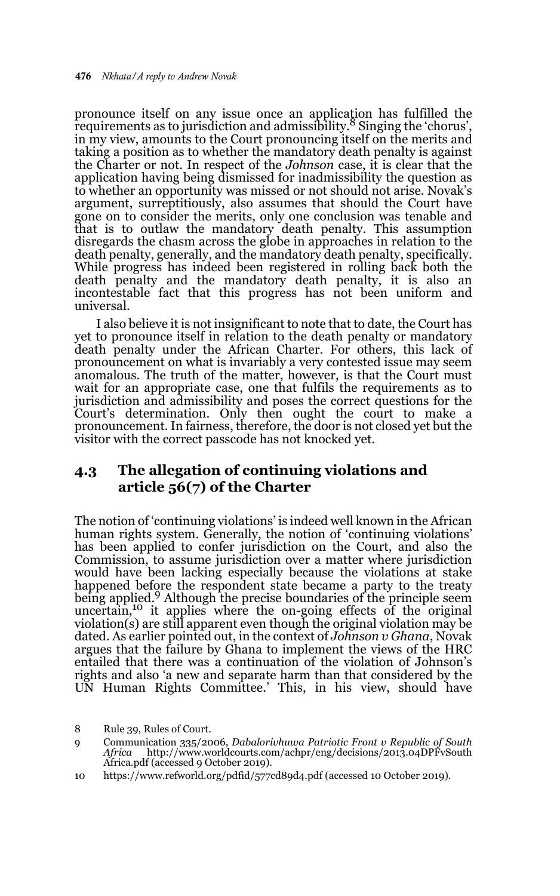pronounce itself on any issue once an application has fulfilled the requirements as to jurisdiction and admissibility.<sup>8</sup> Singing the 'chorus', in my view, amounts to the Court pronouncing itself on the merits and taking a position as to whether the mandatory death penalty is against the Charter or not. In respect of the *Johnson* case, it is clear that the application having being dismissed for inadmissibility the question as to whether an opportunity was missed or not should not arise. Novak's argument, surreptitiously, also assumes that should the Court have gone on to consider the merits, only one conclusion was tenable and that is to outlaw the mandatory death penalty. This assumption disregards the chasm across the globe in approaches in relation to the death penalty, generally, and the mandatory death penalty, specifically. While progress has indeed been registered in rolling back both the death penalty and the mandatory death penalty, it is also an incontestable fact that this progress has not been uniform and universal.

I also believe it is not insignificant to note that to date, the Court has yet to pronounce itself in relation to the death penalty or mandatory death penalty under the African Charter. For others, this lack of pronouncement on what is invariably a very contested issue may seem anomalous. The truth of the matter, however, is that the Court must wait for an appropriate case, one that fulfils the requirements as to jurisdiction and admissibility and poses the correct questions for the Court's determination. Only then ought the court to make a pronouncement. In fairness, therefore, the door is not closed yet but the visitor with the correct passcode has not knocked yet.

# **4.3 The allegation of continuing violations and article 56(7) of the Charter**

The notion of 'continuing violations' is indeed well known in the African human rights system. Generally, the notion of 'continuing violations' has been applied to confer jurisdiction on the Court, and also the Commission, to assume jurisdiction over a matter where jurisdiction would have been lacking especially because the violations at stake happened before the respondent state became a party to the treaty being applied.<sup>9</sup> Although the precise boundaries of the principle seem uncertain,<sup>10</sup> it applies where the on-going effects of the original violation(s) are still apparent even though the original violation may be dated. As earlier pointed out, in the context of *Johnson v Ghana*, Novak argues that the failure by Ghana to implement the views of the HRC entailed that there was a continuation of the violation of Johnson's rights and also 'a new and separate harm than that considered by the UN Human Rights Committee.' This, in his view, should have

<sup>8</sup> Rule 39, Rules of Court.

<sup>9</sup> Communication 335/2006, *Dabalorivhuwa Patriotic Front v Republic of South* http://www.worldcourts.com/achpr/eng/decisions/2013.04DPFvSouth Africa.pdf (accessed 9 October 2019).

<sup>10</sup> https://www.refworld.org/pdfid/577cd89d4.pdf (accessed 10 October 2019).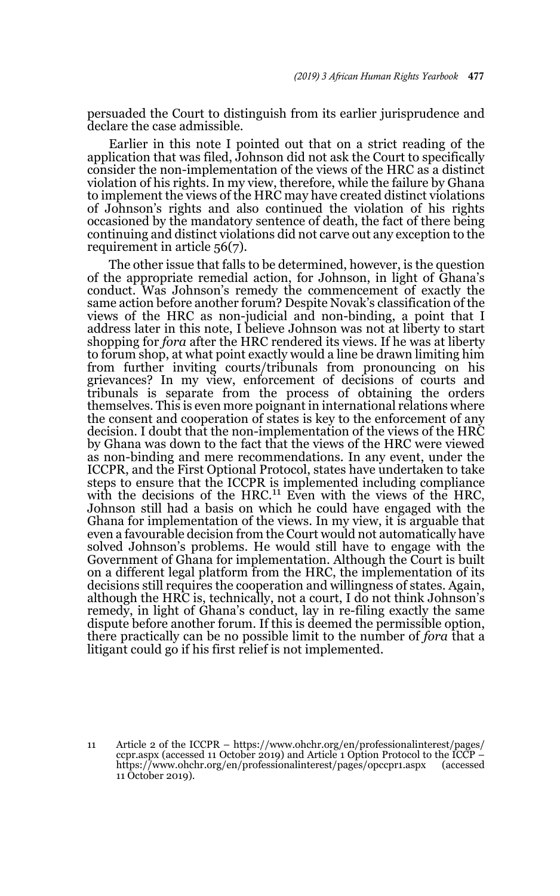persuaded the Court to distinguish from its earlier jurisprudence and declare the case admissible.

Earlier in this note I pointed out that on a strict reading of the application that was filed, Johnson did not ask the Court to specifically consider the non-implementation of the views of the HRC as a distinct violation of his rights. In my view, therefore, while the failure by Ghana to implement the views of the HRC may have created distinct violations of Johnson's rights and also continued the violation of his rights occasioned by the mandatory sentence of death, the fact of there being continuing and distinct violations did not carve out any exception to the requirement in article 56(7).

The other issue that falls to be determined, however, is the question of the appropriate remedial action, for Johnson, in light of Ghana's conduct. Was Johnson's remedy the commencement of exactly the same action before another forum? Despite Novak's classification of the views of the HRC as non-judicial and non-binding, a point that I address later in this note, I believe Johnson was not at liberty to start shopping for *fora* after the HRC rendered its views. If he was at liberty to forum shop, at what point exactly would a line be drawn limiting him from further inviting courts/tribunals from pronouncing on his grievances? In my view, enforcement of decisions of courts and tribunals is separate from the process of obtaining the orders themselves. This is even more poignant in international relations where the consent and cooperation of states is key to the enforcement of any decision. I doubt that the non-implementation of the views of the HRC by Ghana was down to the fact that the views of the HRC were viewed as non-binding and mere recommendations. In any event, under the ICCPR, and the First Optional Protocol, states have undertaken to take steps to ensure that the ICCPR is implemented including compliance with the decisions of the HRC.<sup>11</sup> Even with the views of the HRC, Johnson still had a basis on which he could have engaged with the Ghana for implementation of the views. In my view, it is arguable that even a favourable decision from the Court would not automatically have solved Johnson's problems. He would still have to engage with the Government of Ghana for implementation. Although the Court is built on a different legal platform from the HRC, the implementation of its decisions still requires the cooperation and willingness of states. Again, although the HRC is, technically, not a court, I do not think Johnson's remedy, in light of Ghana's conduct, lay in re-filing exactly the same dispute before another forum. If this is deemed the permissible option, there practically can be no possible limit to the number of *fora* that a litigant could go if his first relief is not implemented.

<sup>11</sup> Article 2 of the ICCPR – https://www.ohchr.org/en/professionalinterest/pages/ ccpr.aspx (accessed 11 October 2019) and Article 1 Option Protocol to the ICCP – https://www.ohchr.org/en/professionalinterest/pages/opccpr1.aspx (accessed 11 October 2019).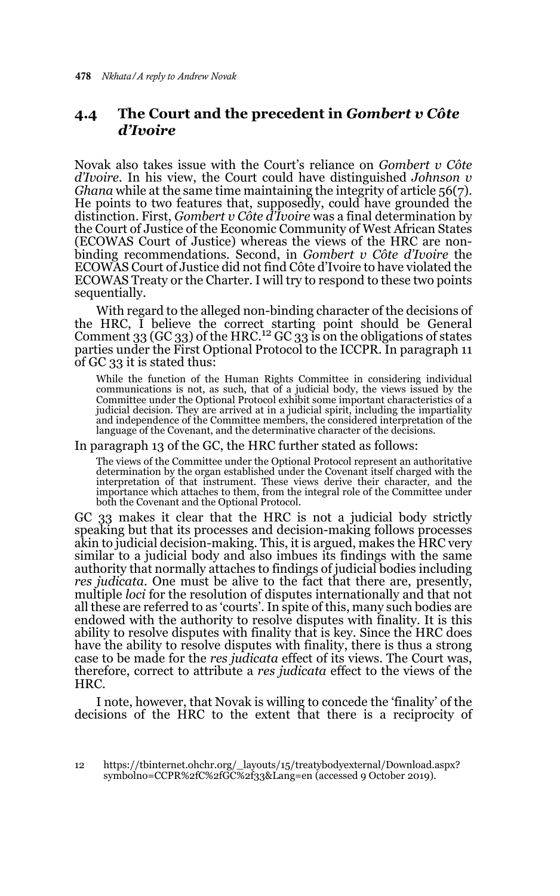## **4.4 The Court and the precedent in** *Gombert v Côte d'Ivoire*

Novak also takes issue with the Court's reliance on *Gombert v Côte d'Ivoire.* In his view, the Court could have distinguished *Johnson v Ghana* while at the same time maintaining the integrity of article 56(7). He points to two features that, supposedly, could have grounded the distinction. First, *Gombert v Côte d'Ivoire* was a final determination by the Court of Justice of the Economic Community of West African States (ECOWAS Court of Justice) whereas the views of the HRC are nonbinding recommendations. Second, in *Gombert v Côte d'Ivoire* the ECOWAS Court of Justice did not find Côte d'Ivoire to have violated the ECOWAS Treaty or the Charter. I will try to respond to these two points sequentially.

With regard to the alleged non-binding character of the decisions of the HRC, I believe the correct starting point should be General Comment  $33$  (GC  $33$ ) of the HRC.<sup>12</sup> GC  $33$  is on the obligations of states parties under the First Optional Protocol to the ICCPR. In paragraph 11 of GC 33 it is stated thus:

While the function of the Human Rights Committee in considering individual communications is not, as such, that of a judicial body, the views issued by the Committee under the Optional Protocol exhibit some important characteristics of a judicial decision. They are arrived at in a judicial spirit, including the impartiality and independence of the Committee members, the considered interpretation of the language of the Covenant, and the determinative character of the decisions.

In paragraph 13 of the GC, the HRC further stated as follows:

The views of the Committee under the Optional Protocol represent an authoritative determination by the organ established under the Covenant itself charged with the interpretation of that instrument. These views derive their character, and the importance which attaches to them, from the integral role of the Committee under both the Covenant and the Optional Protocol.

GC 33 makes it clear that the HRC is not a judicial body strictly speaking but that its processes and decision-making follows processes akin to judicial decision-making. This, it is argued, makes the HRC very similar to a judicial body and also imbues its findings with the same authority that normally attaches to findings of judicial bodies including *res judicata*. One must be alive to the fact that there are, presently, multiple *loci* for the resolution of disputes internationally and that not all these are referred to as 'courts'. In spite of this, many such bodies are endowed with the authority to resolve disputes with finality. It is this ability to resolve disputes with finality that is key. Since the HRC does have the ability to resolve disputes with finality, there is thus a strong case to be made for the *res judicata* effect of its views. The Court was, therefore, correct to attribute a *res judicata* effect to the views of the HRC.

I note, however, that Novak is willing to concede the 'finality' of the decisions of the HRC to the extent that there is a reciprocity of

<sup>12</sup> https://tbinternet.ohchr.org/\_layouts/15/treatybodyexternal/Download.aspx? symbolno=CCPR%2fC%2fGC%2f33&Lang=en (accessed 9 October 2019).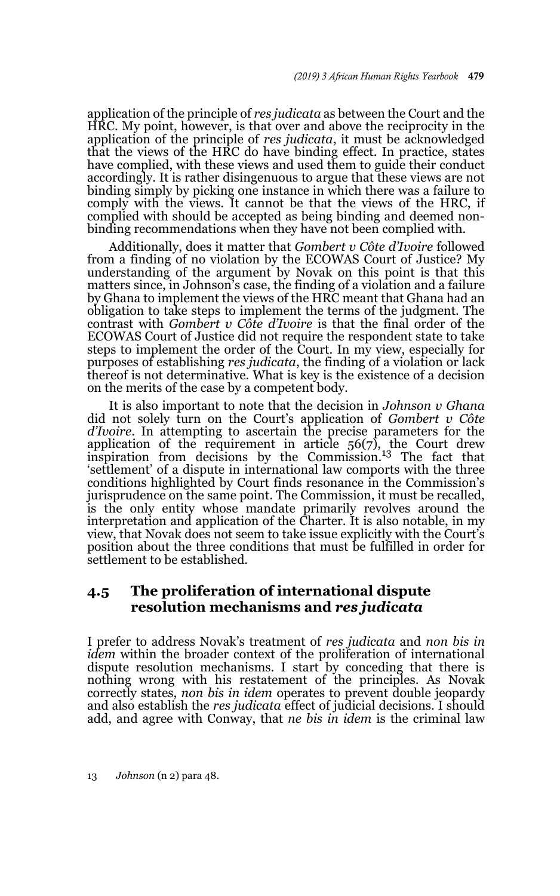application of the principle of *res judicata* as between the Court and the HRC. My point, however, is that over and above the reciprocity in the application of the principle of *res judicata*, it must be acknowledged that the views of the HRC do have binding effect. In practice, states have complied, with these views and used them to guide their conduct accordingly. It is rather disingenuous to argue that these views are not binding simply by picking one instance in which there was a failure to comply with the views. It cannot be that the views of the HRC, if complied with should be accepted as being binding and deemed nonbinding recommendations when they have not been complied with.

Additionally, does it matter that *Gombert v Côte d'Ivoire* followed from a finding of no violation by the ECOWAS Court of Justice? My understanding of the argument by Novak on this point is that this matters since, in Johnson's case, the finding of a violation and a failure by Ghana to implement the views of the HRC meant that Ghana had an obligation to take steps to implement the terms of the judgment. The contrast with *Gombert v Côte d'Ivoire* is that the final order of the ECOWAS Court of Justice did not require the respondent state to take steps to implement the order of the Court. In my view, especially for purposes of establishing *res judicata*, the finding of a violation or lack thereof is not determinative. What is key is the existence of a decision on the merits of the case by a competent body.

It is also important to note that the decision in *Johnson v Ghana* did not solely turn on the Court's application of *Gombert v Côte d'Ivoire*. In attempting to ascertain the precise parameters for the application of the requirement in article  $56(7)$ , the Court drew inspiration from decisions by the Commission.<sup>13</sup> The fact that 'settlement' of a dispute in international law comports with the three conditions highlighted by Court finds resonance in the Commission's jurisprudence on the same point. The Commission, it must be recalled, is the only entity whose mandate primarily revolves around the interpretation and application of the Charter. It is also notable, in my view, that Novak does not seem to take issue explicitly with the Court's position about the three conditions that must be fulfilled in order for settlement to be established.

### **4.5 The proliferation of international dispute resolution mechanisms and** *res judicata*

I prefer to address Novak's treatment of *res judicata* and *non bis in idem* within the broader context of the proliferation of international dispute resolution mechanisms. I start by conceding that there is nothing wrong with his restatement of the principles. As Novak correctly states, *non bis in idem* operates to prevent double jeopardy and also establish the *res judicata* effect of judicial decisions. I should add, and agree with Conway, that *ne bis in idem* is the criminal law

13 *Johnson* (n 2) para 48.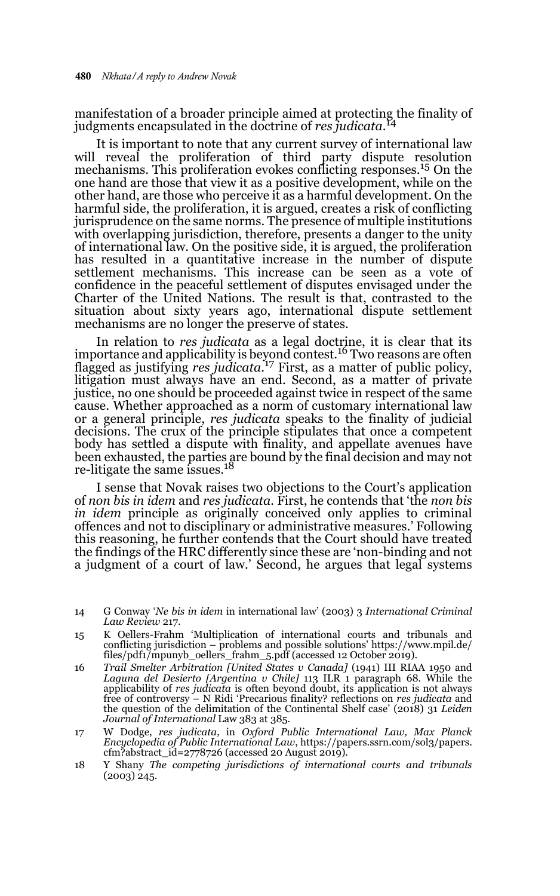manifestation of a broader principle aimed at protecting the finality of judgments encapsulated in the doctrine of *res judicata*. 14

It is important to note that any current survey of international law will reveal the proliferation of third party dispute resolution mechanisms. This proliferation evokes conflicting responses.15 On the one hand are those that view it as a positive development, while on the other hand, are those who perceive it as a harmful development. On the harmful side, the proliferation, it is argued, creates a risk of conflicting jurisprudence on the same norms. The presence of multiple institutions with overlapping jurisdiction, therefore, presents a danger to the unity of international law. On the positive side, it is argued, the proliferation has resulted in a quantitative increase in the number of dispute settlement mechanisms. This increase can be seen as a vote of confidence in the peaceful settlement of disputes envisaged under the Charter of the United Nations. The result is that, contrasted to the situation about sixty years ago, international dispute settlement mechanisms are no longer the preserve of states.

In relation to *res judicata* as a legal doctrine, it is clear that its importance and applicability is beyond contest.<sup>16</sup> Two reasons are often flagged as justifying *res judicata*. 17 First, as a matter of public policy, litigation must always have an end. Second, as a matter of private justice, no one should be proceeded against twice in respect of the same cause. Whether approached as a norm of customary international law or a general principle, *res judicata* speaks to the finality of judicial decisions. The crux of the principle stipulates that once a competent body has settled a dispute with finality, and appellate avenues have been exhausted, the parties are bound by the final decision and may not<br>re-litigate the same issues.<sup>18</sup>

I sense that Novak raises two objections to the Court's application of *non bis in idem* and *res judicata*. First, he contends that 'the *non bis in idem* principle as originally conceived only applies to criminal offences and not to disciplinary or administrative measures.' Following this reasoning, he further contends that the Court should have treated the findings of the HRC differently since these are 'non-binding and not a judgment of a court of law.' Second, he argues that legal systems

- 15 K Oellers-Frahm 'Multiplication of international courts and tribunals and conflicting jurisdiction – problems and possible solutions' https://www.mpil.de/ files/pdf1/mpunyb\_oellers\_frahm\_5.pdf (accessed 12 October 2019).
- 16 *Trail Smelter Arbitration [United States v Canada]* (1941) III RIAA 1950 and *Laguna del Desierto [Argentina v Chile]* 113 ILR 1 paragraph 68. While the applicability of *res judicata* is often beyond doubt, its application is not always free of controversy – N Ridi 'Precarious finality? reflections on *res judicata* and the question of the delimitation of the Continental Shelf case' (2018) 31 *Leiden Journal of International* Law 383 at 385.
- 17 W Dodge, *res judicata,* in *Oxford Public International Law, Max Planck Encyclopedia of Public International Law*, https://papers.ssrn.com/sol3/papers. cfm?abstract\_id=2778726 (accessed 20 August 2019).
- 18 Y Shany *The competing jurisdictions of international courts and tribunals* (2003) 245.

<sup>14</sup> G Conway '*Ne bis in idem* in international law' (2003) 3 *International Criminal Law Review* 217.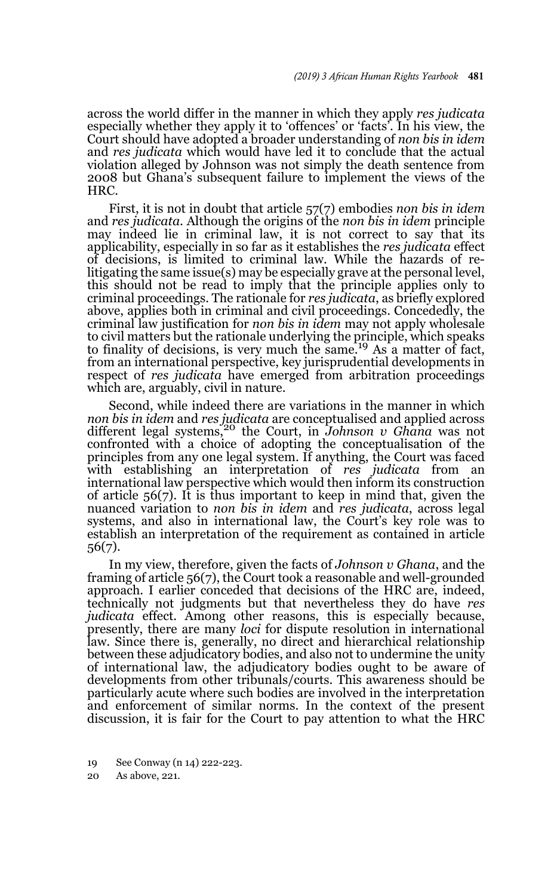across the world differ in the manner in which they apply *res judicata* especially whether they apply it to 'offences' or 'facts'. In his view, the Court should have adopted a broader understanding of *non bis in idem* and *res judicata* which would have led it to conclude that the actual violation alleged by Johnson was not simply the death sentence from 2008 but Ghana's subsequent failure to implement the views of the HRC.

First, it is not in doubt that article 57(7) embodies *non bis in idem* and *res judicata.* Although the origins of the *non bis in idem* principle may indeed lie in criminal law, it is not correct to say that its applicability, especially in so far as it establishes the *res judicata* effect of decisions, is limited to criminal law. While the hazards of relitigating the same issue(s) may be especially grave at the personal level, this should not be read to imply that the principle applies only to criminal proceedings. The rationale for *res judicata*, as briefly explored above, applies both in criminal and civil proceedings. Concededly, the criminal law justification for *non bis in idem* may not apply wholesale to civil matters but the rationale underlying the principle, which speaks to finality of decisions, is very much the same.<sup>19</sup> As a matter of fact, from an international perspective, key jurisprudential developments in respect of *res judicata* have emerged from arbitration proceedings which are, arguably, civil in nature.

Second, while indeed there are variations in the manner in which *non bis in idem* and *res judicata* are conceptualised and applied across different legal systems,20 the Court, in *Johnson v Ghana* was not confronted with a choice of adopting the conceptualisation of the principles from any one legal system. If anything, the Court was faced with establishing an interpretation of *res judicata* from an international law perspective which would then inform its construction of article 56(7). It is thus important to keep in mind that, given the nuanced variation to *non bis in idem* and *res judicata*, across legal systems, and also in international law, the Court's key role was to establish an interpretation of the requirement as contained in article 56(7).

In my view, therefore, given the facts of *Johnson v Ghana*, and the framing of article 56(7), the Court took a reasonable and well-grounded approach. I earlier conceded that decisions of the HRC are, indeed, technically not judgments but that nevertheless they do have *res judicata* effect. Among other reasons, this is especially because, presently, there are many *loci* for dispute resolution in international law. Since there is, generally, no direct and hierarchical relationship between these adjudicatory bodies, and also not to undermine the unity of international law, the adjudicatory bodies ought to be aware of developments from other tribunals/courts. This awareness should be particularly acute where such bodies are involved in the interpretation and enforcement of similar norms. In the context of the present discussion, it is fair for the Court to pay attention to what the HRC

20 As above, 221.

<sup>19</sup> See Conway (n 14) 222-223.